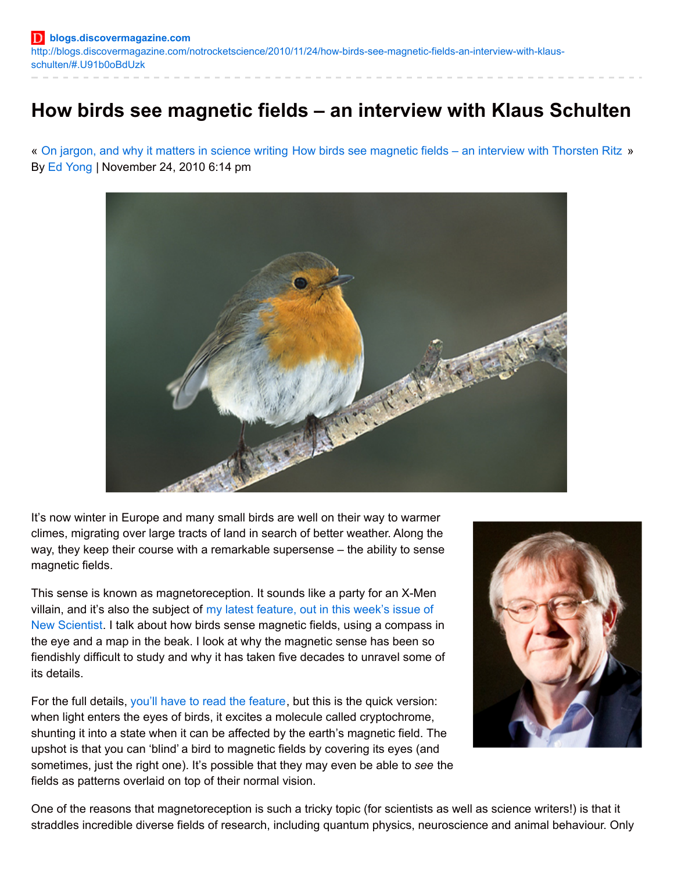# **How birds see magnetic fields – an interview with Klaus Schulten**

« On jargon, and why it matters in [science](http://blogs.discovermagazine.com/notrocketscience/2010/11/24/on-jargon-and-why-it-matters-in-science-writing/) writing How birds see [magnetic](http://blogs.discovermagazine.com/notrocketscience/2010/11/25/how-birds-see-magnetic-fields-an-interview-with-thorsten-ritz/) fields – an interview with Thorsten Ritz » By Ed [Yong](http://discovermagazine.com/authors?name=Ed+Yong) | November 24, 2010 6:14 pm



It's now winter in Europe and many small birds are well on their way to warmer climes, migrating over large tracts of land in search of better weather. Along the way, they keep their course with a remarkable supersense – the ability to sense magnetic fields.

This sense is known as magnetoreception. It sounds like a party for an X-Men villain, and it's also the subject of my latest feature, out in this week's issue of New [Scientist.](http://www.newscientist.com/article/mg20827881.600-magnetovision-birds-seventh-sense-revealed.html) I talk about how birds sense magnetic fields, using a compass in the eye and a map in the beak. I look at why the magnetic sense has been so fiendishly difficult to study and why it has taken five decades to unravel some of its details.

For the full details, you'll have to read the [feature](http://www.newscientist.com/article/mg20827881.600-magnetovision-birds-seventh-sense-revealed.html), but this is the quick version: when light enters the eyes of birds, it excites a molecule called cryptochrome, shunting it into a state when it can be affected by the earth's magnetic field. The upshot is that you can 'blind' a bird to magnetic fields by covering its eyes (and sometimes, just the right one). It's possible that they may even be able to *see* the fields as patterns overlaid on top of their normal vision.



One of the reasons that magnetoreception is such a tricky topic (for scientists as well as science writers!) is that it straddles incredible diverse fields of research, including quantum physics, neuroscience and animal behaviour. Only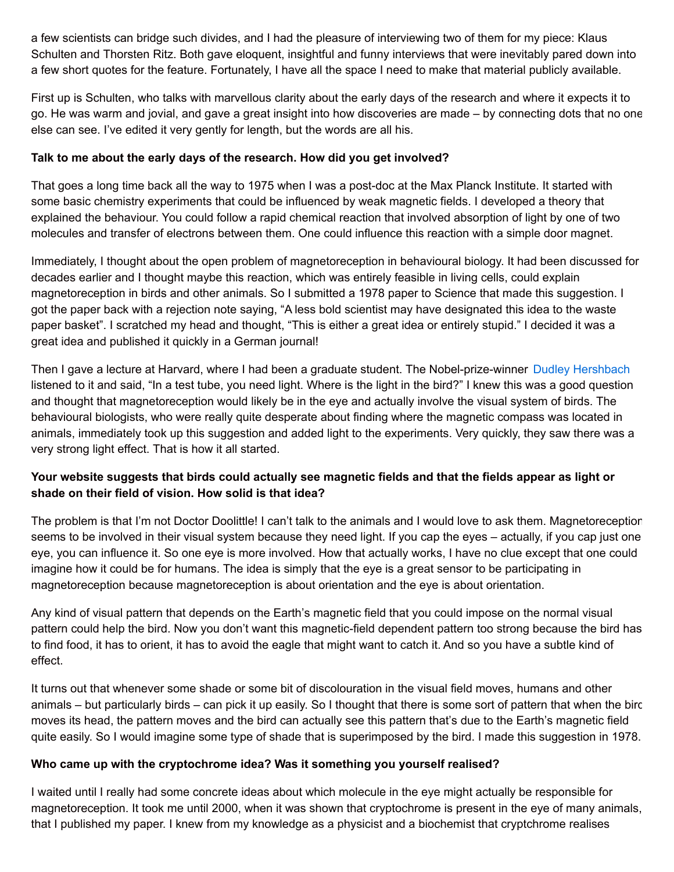a few scientists can bridge such divides, and I had the pleasure of interviewing two of them for my piece: Klaus Schulten and Thorsten Ritz. Both gave eloquent, insightful and funny interviews that were inevitably pared down into a few short quotes for the feature. Fortunately, I have all the space I need to make that material publicly available.

First up is Schulten, who talks with marvellous clarity about the early days of the research and where it expects it to go. He was warm and jovial, and gave a great insight into how discoveries are made – by connecting dots that no one else can see. I've edited it very gently for length, but the words are all his.

### **Talk to me about the early days of the research. How did you get involved?**

That goes a long time back all the way to 1975 when I was a post-doc at the Max Planck Institute. It started with some basic chemistry experiments that could be influenced by weak magnetic fields. I developed a theory that explained the behaviour. You could follow a rapid chemical reaction that involved absorption of light by one of two molecules and transfer of electrons between them. One could influence this reaction with a simple door magnet.

Immediately, I thought about the open problem of magnetoreception in behavioural biology. It had been discussed for decades earlier and I thought maybe this reaction, which was entirely feasible in living cells, could explain magnetoreception in birds and other animals. So I submitted a 1978 paper to Science that made this suggestion. I got the paper back with a rejection note saying, "A less bold scientist may have designated this idea to the waste paper basket". I scratched my head and thought, "This is either a great idea or entirely stupid." I decided it was a great idea and published it quickly in a German journal!

Then I gave a lecture at Harvard, where I had been a graduate student. The Nobel-prize-winner Dudley [Hershbach](http://en.wikipedia.org/wiki/Dudley_R._Herschbach) listened to it and said, "In a test tube, you need light. Where is the light in the bird?" I knew this was a good question and thought that magnetoreception would likely be in the eye and actually involve the visual system of birds. The behavioural biologists, who were really quite desperate about finding where the magnetic compass was located in animals, immediately took up this suggestion and added light to the experiments. Very quickly, they saw there was a very strong light effect. That is how it all started.

# Your website suggests that birds could actually see magnetic fields and that the fields appear as light or **shade on their field of vision. How solid is that idea?**

The problem is that I'm not Doctor Doolittle! I can't talk to the animals and I would love to ask them. Magnetoreception seems to be involved in their visual system because they need light. If you cap the eyes – actually, if you cap just one eye, you can influence it. So one eye is more involved. How that actually works, I have no clue except that one could imagine how it could be for humans. The idea is simply that the eye is a great sensor to be participating in magnetoreception because magnetoreception is about orientation and the eye is about orientation.

Any kind of visual pattern that depends on the Earth's magnetic field that you could impose on the normal visual pattern could help the bird. Now you don't want this magnetic-field dependent pattern too strong because the bird has to find food, it has to orient, it has to avoid the eagle that might want to catch it. And so you have a subtle kind of effect.

It turns out that whenever some shade or some bit of discolouration in the visual field moves, humans and other animals – but particularly birds – can pick it up easily. So I thought that there is some sort of pattern that when the birc moves its head, the pattern moves and the bird can actually see this pattern that's due to the Earth's magnetic field quite easily. So I would imagine some type of shade that is superimposed by the bird. I made this suggestion in 1978.

#### **Who came up with the cryptochrome idea? Was it something you yourself realised?**

I waited until I really had some concrete ideas about which molecule in the eye might actually be responsible for magnetoreception. It took me until 2000, when it was shown that cryptochrome is present in the eye of many animals, that I published my paper. I knew from my knowledge as a physicist and a biochemist that cryptchrome realises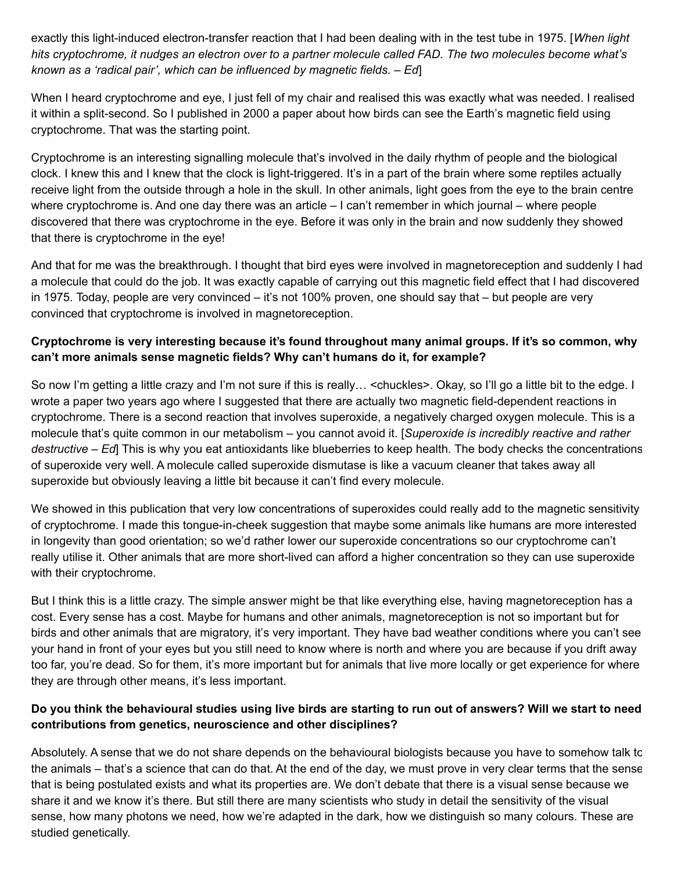exactly this light-induced electron-transfer reaction that I had been dealing with in the test tube in 1975. [*When light* hits cryptochrome, it nudges an electron over to a partner molecule called FAD. The two molecules become what's *known as a 'radical pair', which can be influenced by magnetic fields. – Ed*]

When I heard cryptochrome and eye, I just fell of my chair and realised this was exactly what was needed. I realised it within a split-second. So I published in 2000 a paper about how birds can see the Earth's magnetic field using cryptochrome. That was the starting point.

Cryptochrome is an interesting signalling molecule that's involved in the daily rhythm of people and the biological clock. I knew this and I knew that the clock is light-triggered. It's in a part of the brain where some reptiles actually receive light from the outside through a hole in the skull. In other animals, light goes from the eye to the brain centre where cryptochrome is. And one day there was an article – I can't remember in which journal – where people discovered that there was cryptochrome in the eye. Before it was only in the brain and now suddenly they showed that there is cryptochrome in the eye!

And that for me was the breakthrough. I thought that bird eyes were involved in magnetoreception and suddenly I had a molecule that could do the job. It was exactly capable of carrying out this magnetic field effect that I had discovered in 1975. Today, people are very convinced – it's not 100% proven, one should say that – but people are very convinced that cryptochrome is involved in magnetoreception.

# **Cryptochrome is very interesting because it's found throughout many animal groups. If it's so common, why can't more animals sense magnetic fields? Why can't humans do it, for example?**

So now I'm getting a little crazy and I'm not sure if this is really… <chuckles>. Okay, so I'll go a little bit to the edge. I wrote a paper two years ago where I suggested that there are actually two magnetic field-dependent reactions in cryptochrome. There is a second reaction that involves superoxide, a negatively charged oxygen molecule. This is a molecule that's quite common in our metabolism – you cannot avoid it. [*Superoxide is incredibly reactive and rather destructive – Ed*] This is why you eat antioxidants like blueberries to keep health. The body checks the concentrations of superoxide very well. A molecule called superoxide dismutase is like a vacuum cleaner that takes away all superoxide but obviously leaving a little bit because it can't find every molecule.

We showed in this publication that very low concentrations of superoxides could really add to the magnetic sensitivity of cryptochrome. I made this tongue-in-cheek suggestion that maybe some animals like humans are more interested in longevity than good orientation; so we'd rather lower our superoxide concentrations so our cryptochrome can't really utilise it. Other animals that are more short-lived can afford a higher concentration so they can use superoxide with their cryptochrome.

But I think this is a little crazy. The simple answer might be that like everything else, having magnetoreception has a cost. Every sense has a cost. Maybe for humans and other animals, magnetoreception is not so important but for birds and other animals that are migratory, it's very important. They have bad weather conditions where you can't see your hand in front of your eyes but you still need to know where is north and where you are because if you drift away too far, you're dead. So for them, it's more important but for animals that live more locally or get experience for where they are through other means, it's less important.

# Do you think the behavioural studies using live birds are starting to run out of answers? Will we start to need **contributions from genetics, neuroscience and other disciplines?**

Absolutely. A sense that we do not share depends on the behavioural biologists because you have to somehow talk to the animals – that's a science that can do that. At the end of the day, we must prove in very clear terms that the sense that is being postulated exists and what its properties are. We don't debate that there is a visual sense because we share it and we know it's there. But still there are many scientists who study in detail the sensitivity of the visual sense, how many photons we need, how we're adapted in the dark, how we distinguish so many colours. These are studied genetically.